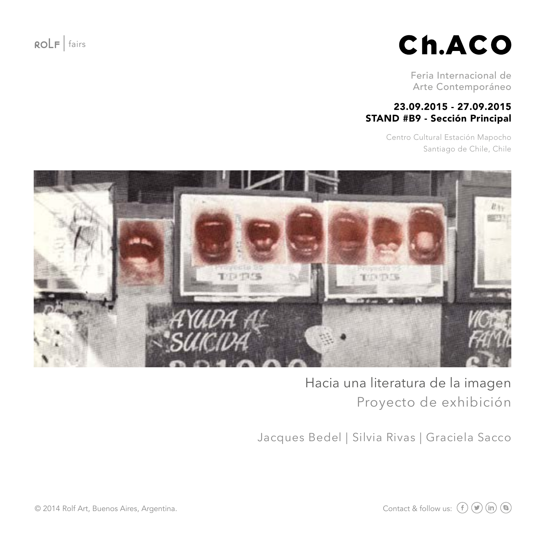$ROLF$  fairs

# Ch.ACO

Feria Internacional de Arte Contemporáneo

#### 23.09.2015 - 27.09.2015 STAND #B9 - Sección Principal

Centro Cultural Estación Mapocho Santiago de Chile, Chile



Hacia una literatura de la imagen Proyecto de exhibición

Jacques Bedel | Silvia Rivas | Graciela Sacco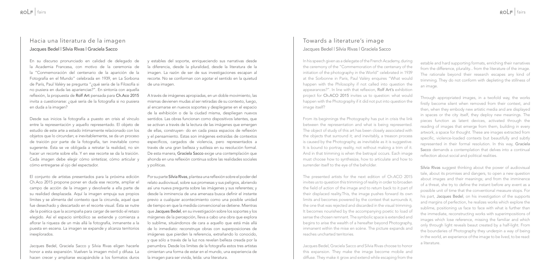### Jacques Bedel | Silvia Rivas | Graciela Sacco Hacia una literatura de la imagen Towards a literature's image

En su discurso pronunciado en calidad de delegado de la Academia Francesa, con motivo de la ceremonia de la "Conmemoración del centenario de la aparición de la Fotografía en el Mundo" celebrada en 1939, en La Sorbona de París, Paul Valéry se pregunta "¿qué sería de la Filosofía si no pusiera en duda las apariencias?". En sintonía con aquella reflexión, la propuesta de Rolf Art pensada para Ch.Aco 2015 invita a cuestionarse: ¿qué sería de la fotografía si no pusiera en duda a la imagen?

Desde sus inicios la fotografía a puesto en crisis el vínculo entre la representación y aquello representado. El objeto de estudio de este arte a estado íntimamente relacionado con los objetos que lo circundan; e inevitablemente, se da un proceso de traición por parte de la fotografía, tan inevitable como sugerente. Ésta se ve obligada a retratar la realidad, no sin hacer un recorte sobre ella. Y en ese recorte se da la traición. Cada imagen debe elegir cómo sintetizar, cómo articular y cómo entregarse al ojo del espectador.

El conjunto de artistas presentados para la próxima edición Ch.Aco 2015 propone poner en duda ese recorte, ampliar el campo de acción de la imagen y devolverle a ella parte de su realidad desplazada. Aquí la imagen empuja sus propios límites y se alimenta del contexto que la circunda, aquel que fue desechado y descartado en el recorte visual. Ésta se nutre de la poética que la acompaña para cargar de sentido el retazo elegido. Así el espacio simbólico se extiende y comienza a aflorar la riqueza de un más allá la fotografía, inmanente a la puesta en escena. La imagen se expande y alcanza territorios inexplorados.

Jacques Bedel, Graciela Sacco y Silvia Rivas eligen hacerle honor a esta expansión. Vuelven la imagen móvil y difusa. La hacen crecer y ampliarse escapándole a los formatos duros

## Jacques Bedel | Silvia Rivas | Graciela Sacco

In his speech given as a delegate of the French Academy, during the ceremony of the "Commemoration of the centenary of the initiation of the photography in the World" celebrated in 1939 at the Sorbonne in Paris, Paul Valéry enquires "What would happen with the Philosophy if not called into question the appearances?". In line with that reflexion, Rolf Art's exhibition project for Ch.ACO 2015 invites us to question: what would happen with the Photography if it did not put into question the image itself?

From its beginnings the Photography has put in crisis the link between the representation and what is being represented. The object of study of this art has been closely associated with the objects that surround it; and inevitably, a treason process is caused by the Photography, as inevitable as it is suggestive. It is bound to portray reality, not without making a trim of it. And in that trimming is when the betrayal occurs. Each image must choose how to synthesize, how to articulate and how to surrender itself to the eye of the beholder.

The presented artists for the next edition of Ch.ACO 2015 invites us to question this trimming of reality in order to broaden the field of action of the image and to return back to it part of their displaced reality.This, the image pushes forward its own limits and becomes powered by the context that surrounds it, the one that was rejected and discarded in the visual trimming. It becomes nourished by the accompanying poetic to load of sense the chosen remnant. The symbolic space is extended and begins to arise the wealth of a hereafter beyond Photography, immanent within the mise en scène. The picture expands and reaches uncharted territories.

Jacques Bedel, Graciela Sacco and Silvia Rivas choose to honor this expansion. They make the image become mobile and diffuse. They make it grow and extend while escaping from the Silvia Rivas suggest thinking about the power of audiovisual tale, about its promises and dangers, to open a new question about images and their meanings; and from the imminence of a threat, she try to define the instant before any event as a possible unit of time that the conventional measure stops. For his part, Jacques Bedel, on his investigation of the supports and margins of perfection, he realizes works which explore the sublime, positioning us face to face with what is further than the immediate, reconstructing works with superimpositions of images which lose reference, missing the familiar and which only through light reveals beaut created by a half-light. From the boundaries of Photography they underpin a way of being in the world, an experience of the image to be lived, to be read: a literature.

y estables del soporte, enriqueciendo sus narrativas desde la diferencia, desde la pluralidad, desde la literatura de la imagen. La razón de ser de sus investigaciones escapan al recorte. No se conforman con agotar el sentido en la quietud de una imagen.

A través de imágenes apropiadas, en un doble movimiento, las mismas devienen mudas al ser retiradas de su contexto, luego, al encarnarse en nuevos soportes y desplegarse en el espacio de la exhibición o de la ciudad misma, despliegan nuevos sentidos. Las obras funcionan como dispositivos latentes, que se activan a través de la lectura de las imágenes que emergen de ellas, construyen- do en cada pieza espacios de reflexión y el pensamiento. Estas son imágenes extraídas de contextos específicos, cargados de violencia, pero representados a través de una gran belleza y sutileza en su resolución formal. De esta manera, Graciela Sacco exige una contemplación que ahonda en una reflexión continua sobre las realidades sociales y políticas.

Por su parte Silvia Rivas, plantea una reflexión sobre el poder del relato audiovisual, sobre sus promesas y sus peligros, abriendo así una nueva pregunta sobre las imágenes y sus referentes; y desde la inminencia de una amenaza busca definir el instante previo a cualquier acontecimiento como una posible unidad de tiempo en que la medida convencional se detiene. Mientras que Jacques Bedel, en su investigación sobre los soportes y los márgenes de la percepción, lleva a cabo una obra que explora lo sublime, situándonos de cara a aquello que está más allá de lo inmediato: reconstruye obras con superposiciones de imágenes que pierden la referencia, extrañando lo conocido, y que sólo a través de la luz nos revelan belleza creada por la penumbra. Desde los limites de la fotografía estos tres artistas cimientan una forma de estar en el mundo, una experiencia de la imagen para ser vivida, leída: una literatura.

estable and hard supporting formats, enriching their narratives from the difference, plurality... from the literature of the image. The rationale beyond their research escapes any kind of trimming. They do not conform with depleting the stillness of

an image.

Through appropriated images, in a twofold way, the works firstly become silent when removed from their context, and then, when they embody new artistic media and are displayed in spaces or the city itself, they deploy new meanings. The pieces function as latent devices, activated through the reading of images that emerge from them, building in every artwork, a space for thought. These are images extracted from specific, violence-loaded contexts but beautifully and subtly represented in their formal resolution. In this way, Graciela Sacco demands a contemplation that delves into a continual reflection about social and political realities.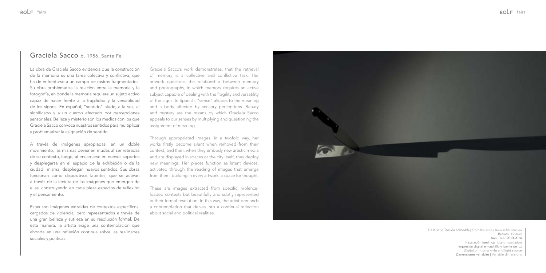### Graciela Sacco b. 1956, Santa Fe

La obra de Graciela Sacco evidencia que la construcción de la memoria es una tarea colectiva y conflictiva, que ha de enfrentarse a un campo de rastros fragmentados. Su obra problematiza la relación entre la memoria y la fotografía, en donde la memoria requiere un sujeto activo capaz de hacer frente a la fragilidad y la versatilidad de los signos. En español, "sentido" alude, a la vez, al significado y a un cuerpo afectado por percepciones sensoriales. Belleza y misterio son los medios con los que Graciela Sacco convoca nuestros sentidos para multiplicar y problematizar la asignación de sentido.

A través de imágenes apropiadas, en un doble movimiento, las mismas devienen mudas al ser retiradas de su contexto, luego, al encarnarse en nuevos soportes y desplegarse en el espacio de la exhibición o de la ciudad misma, despliegan nuevos sentidos. Sus obras funcionan como dispositivos latentes, que se activan a través de la lectura de las imágenes que emergen de ellas, construyendo en cada pieza espacios de reflexión y el pensamiento.

Estas son imágenes extraídas de contextos específicos, cargados de violencia, pero representados a través de una gran belleza y sutileza en su resolución formal. De esta manera, la artista exige una contemplación que ahonda en una reflexión continua sobre las realidades sociales y políticas.

Graciela Sacco's work demonstrates, that the retrieval of memory is a collective and conflictive task. Her artwork questions the relationship between memory and photography, in which memory requires an active subject capable of dealing with the fragility and versatility of the signs. In Spanish, "sense" alludes to the meaning and a body affected by sensory perceptions. Beauty and mystery are the means by which Graciela Sacco appeals to our senses by multiplying and questioning the assignment of meaning.

Through appropriated images, in a twofold way, her works firstly become silent when removed from their context, and then, when they embody new artistic media and are displayed in spaces or the city itself, they deploy new meanings. Her pieces function as latent devices, activated through the reading of images that emerge from them, building in every artwork, a space for thought.

These are images extracted from specific, violenceloaded contexts but beautifully and subtly represented in their formal resolution. In this way, the artist demands a contemplation that delves into a continual reflection about social and political realities.



De la serie *Tensión admisible* | From the series *Admissible tension* Retrato | Portrait Año | Year 2010-2014 Instalación lumínica | Light installation Impresión digital en cuchillo y fuente de luz Digital print on a knife and light source Dimensiones variables | Variable dimensions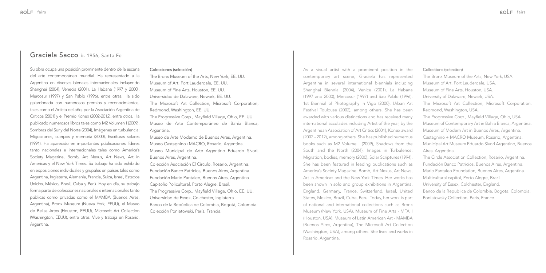### Graciela Sacco b. 1956, Santa Fe

Su obra ocupa una posición prominente dentro de la escena del arte contemporáneo mundial. Ha representado a la Argentina en diversas bienales internacionales incluyendo Shanghai (2004), Venecia (2001), La Habana (1997 y 2000), Mercosur (1997) y San Pablo (1996), entre otras. Ha sido galardonada con numerosos premios y reconocimientos, tales como el Artista del año, por la Asociación Argentina de Críticos (2001) y el Premio Konex (2002-2012), entre otros. Ha publicado numerosos libros tales como M2 Volumen I (2009), Sombras del Sur y del Norte (2004), Imágenes en turbulencia: Migraciones, cuerpos y memoria (2000), Escrituras solares (1994). Ha aparecido en importantes publicaciones líderes tanto nacionales e internacionales tales como America's Society Magazine, Bomb, Art Nexus, Art News, Art in Americas y el New York Times. Su trabajo ha sido exhibido en exposiciones individuales y grupales en países tales como Argentina, Inglaterra, Alemania, Francia, Suiza, Israel, Estados Unidos, México, Brasil, Cuba y Perú. Hoy en día, su trabajo forma parte de colecciones nacionales e internacionales tanto públicas como privadas como el MAMBA (Buenos Aires, Argentina), Bronx Museum (Nueva York, EEUU), el Museo de Bellas Artes (Houston, EEUU), Microsoft Art Collection (Washington, EEUU), entre otras. Vive y trabaja en Rosario, Argentina.

#### Colecciones (selección)

The Bronx Museum of the Arts, New York, EE. UU. Museum of Art, Fort Lauderdale, EE. UU. Museum of Fine Arts, Houston, EE. UU. Universidad de Dalaware, Newark, EE. UU. The Microsoft Art Collection, Microsoft Corporation, Redmond, Washington, EE. UU. The Progressive Corp., Mayfield Village, Ohio, EE. UU.

Museo de Arte Contemporáneo de Bahía Blanca, Argentina.

Museo de Arte Moderno de Buenos Aires, Argentina. Museo Castagnino+MACRO, Rosario, Argentina. Museo Municipal de Arte Argentino Eduardo Sívori, Buenos Aires, Argentina.

Colección Asociación El Círculo, Rosario, Argentina. Fundación Banco Patricios, Buenos Aires, Argentina. Fundación Mario Pantaleo, Buenos Aires, Argentina. Capitolio Policultural, Porto Alegre, Brasil. The Progressive Corp., Mayfield Village, Ohio, EE. UU. Universidad de Essex, Colchester, Inglaterra. Banco de la República de Colombia, Bogotá, Colombia. Colección Poniatowski, París, Francia.

As a visual artist with a prominent position in the contemporary art scene, Graciela has represented Argentina in several international biennials including Shanghai Biennial (2004), Venice (2001), La Habana (1997 and 2000), Mercosur (1997) and Sao Pablo (1996), 1st Biennial of Photography in Vigo (2000), Urban Art Festival Toulouse (2002), among others. She has been awarded with various distinctions and has received many international accolades including Artist of the year, by the Argentinean Association of Art Critics (2001), Konex award (2002 - 2012), among others. She has published numerous books such as M2 Volume I (2009), Shadows from the South and the North (2004), Images in Turbulence: Migration, bodies, memory (2000), Solar Scriptures (1994). She has been featured in leading publications such as America's Society Magazine, Bomb, Art Nexus, Art News, Art in Americas and the New York Times. Her works has been shown in solo and group exhibitions in Argentina, England, Germany, France, Switzerland, Israel, United States, Mexico, Brazil, Cuba, Peru. Today, her work is part of national and international collections such as Bronx Museum (New York, USA), Museum of Fine Arts - MFAH (Houston, USA), Museum of Latin American Art - MAMBA (Buenos Aires, Argentina), The Microsoft Art Collection (Washington, USA), among others. She lives and works in Rosario, Argentina.

#### Collections (selection)

- The Bronx Museum of the Arts, New York, USA.
- Museum of Art, Fort Lauderdale, USA.
- Museum of Fine Arts, Houston, USA.
- University of Dalaware, Newark, USA.
- The Microsoft Art Collection, Microsoft Corporation, Redmond, Washington, USA.
- The Progressive Corp., Mayfield Village, Ohio, USA.
- Museum of Contemporary Art in Bahia Blanca, Argentina.
- Museum of Modern Art in Buenos Aires, Argentina.
- Castagnino + MACRO Museum, Rosario, Argentina.
- Municipal Art Museum Eduardo Sivori Argentino, Buenos Aires, Argentina.
- The Circle Association Collection, Rosario, Argentina.
- Fundación Banco Patricios, Buenos Aires, Argentina.
- Mario Pantaleo Foundation, Buenos Aires, Argentina.
- Multicultural capitol, Porto Alegre, Brazil.
- University of Essex, Colchester, England.
- Banco de la Republica de Colombia, Bogota, Colombia. Poniatowsky Collection, Paris, France.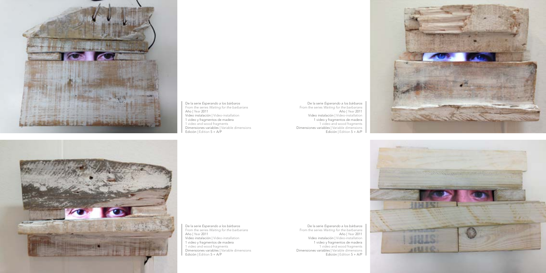





De la serie *Esperando a los bárbaros* From the series *Waiting for the barbarians* Año | Year 2011 Video instalación | Video-installation 1 video y fragmentos de madera 1 video and wood fragments Dimensiones variables | Variable dimensions Edición | Edition 5 + A/P

De la serie *Esperando a los bárbaros* From the series *Waiting for the barbarians* Año | Year 2011 Video instalación | Video-installation 1 video y fragmentos de madera 1 video and wood fragments Dimensiones variables | Variable dimensions Edición | Edition 5 + A/P

De la serie *Esperando a los bárbaros* From the series *Waiting for the barbarians* Año | Year 2011 Video instalación | Video-installation 1 video y fragmentos de madera 1 video and wood fragments Dimensiones variables | Variable dimensions Edición | Edition 5 + A/P

De la serie *Esperando a los bárbaros* From the series *Waiting for the barbarians* Año | Year 2011 Video instalación | Video-installation 1 video y fragmentos de madera 1 video and wood fragments Dimensiones variables | Variable dimensions Edición | Edition 5 + A/P

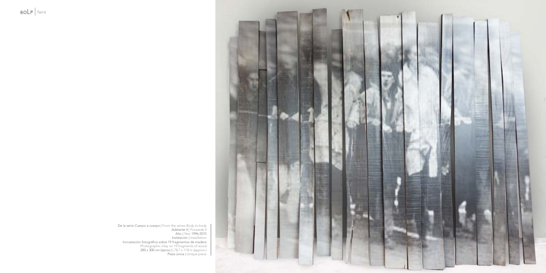

De la serie *Cuerpo a cuerpo* | From the series *Body to body Adelante II* | *Forwards II* Año | Year 1996-2015 Instalación | Installation Incrustación fotográfica sobre 19 fragmentos de madera Photographic inlay on 19 fragments of wood 200 x 300 cm (aprox.) | 78,7 x 118 in (approx.) Pieza única | Unique piece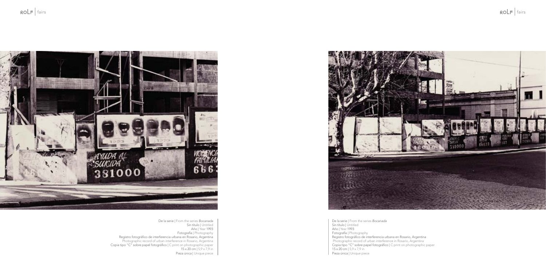

De la serie | From the series *Bocanada*  Sin título | Untitled Año | Year 1993 Fotografía | Photography Registro fotográfico de interferencia urbana en Rosario, Argentina Photographic record of urban interference in Rosario, Argentina Copia tipo "C" sobre papel fotográfico | C print on photographic paper 15 x 20 cm | 5,9 x 7,9 in Pieza única | Unique piece



De la serie | From the series *Bocanada*  Sin título | Untitled Año | Year 1993 Fotografía | Photography Registro fotográfico de interferencia urbana en Rosario, Argentina Photographic record of urban interference in Rosario, Argentina Copia tipo "C" sobre papel fotográfico | C print on photographic paper 15 x 20 cm | 5,9 x 7,9 in Pieza única | Unique piece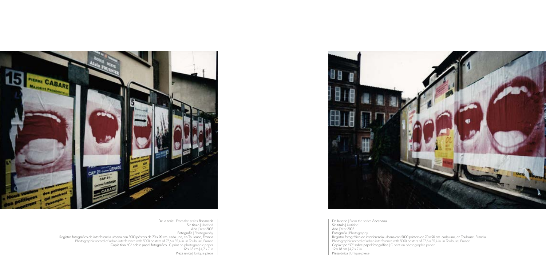

De la serie | From the series *Bocanada*  Sin título | Untitled Año | Year 2002 Fotografía | Photography Registro fotográfico de interferencia urbana con 5000 pósters de 70 x 90 cm. cada uno, en Toulouse, Francia Photographic record of urban interference with 5000 posters of 27,6 x 35,4 in. in Toulouse, France Copia tipo "C" sobre papel fotográfico | C print on photographic paper 12 x 18 cm | 4,7 x 7 in Pieza única | Unique piece



De la serie | From the series *Bocanada*  Sin título | Untitled Año | Year 2002 Fotografía | Photography Registro fotográfico de interferencia urbana con 5000 pósters de 70 x 90 cm. cada uno, en Toulouse, Francia Photographic record of urban interference with 5000 posters of 27,6 x 35,4 in. in Toulouse, France Copia tipo "C" sobre papel fotográfico | C print on photographic paper 12 x 18 cm | 4,7 x 7 in Pieza única | Unique piece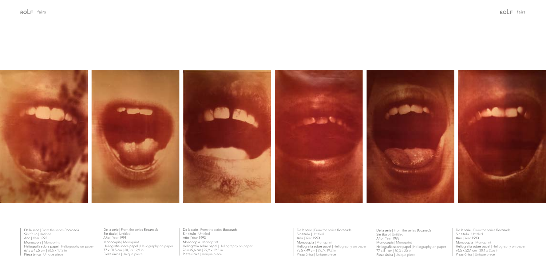De la serie | From the series *Bocanada* Sin título | Untitled Año | Year 1993 Monocopia | Monoprint Heliografía sobre papel | Heliography on paper 76 x 49,6 cm | 29,9 x 19,5 in Pieza única | Unique piece

De la serie | From the series *Bocanada* Sin título | Untitled Año | Year 1993 Monocopia | Monoprint Heliografía sobre papel | Heliography on paper 77 x 50,5 cm | 30,3 x 19,9 in Pieza única | Unique piece



De la serie | From the series *Bocanada* Sin título | Untitled Año | Year 1993 Monocopia | Monoprint Heliografía sobre papel | Heliography on paper 67,5 x 45,5 cm | 26,5 x 17,9 in Pieza única | Unique piece

De la serie | From the series *Bocanada* Sin título | Untitled Año | Year 1993 Monocopia | Monoprint Heliografía sobre papel | Heliography on paper 77 x 51 cm | 30,3 x 20 in Pieza única | Unique piece

De la serie | From the series *Bocanada* Sin título | Untitled Año | Year 1993 Monocopia | Monoprint Heliografía sobre papel | Heliography on paper 76,5 x 52,4 cm | 30,1 x 20,6 in Pieza única | Unique piece

De la serie | From the series *Bocanada* Sin título | Untitled Año | Year 1993 Monocopia | Monoprint Heliografía sobre papel | Heliography on paper 75,5 x 49 cm | 29,7x 19,2 in Pieza única | Unique piece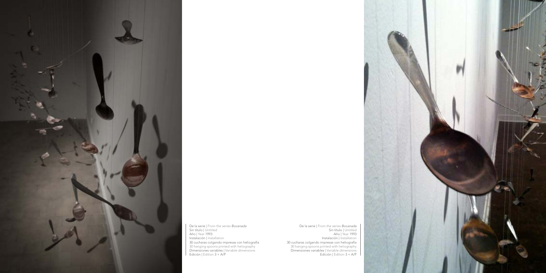

De la serie | From the series *Bocanada* Sin título | Untitled Año | Year 1993 Instalación | Installation 30 cucharas colgando impresas con heliografía 30 hanging spoons printed with heliography Dimensiones variables | Variable dimensions Edición | Edition 3 + A/P

De la serie | From the series *Bocanada* Sin título | Untitled Año | Year 1993 Instalación | Installation 30 cucharas colgando impresas con heliografía 30 hanging spoons printed with heliography Dimensiones variables | Variable dimensions Edición | Edition 3 + A/P

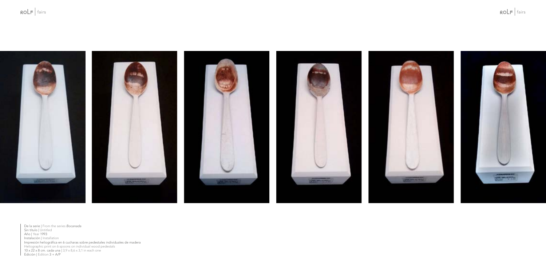

De la serie | From the series *Bocanada* Sin título | Untitled Año | Year 1993 Instalación | Installation Impresión heliográfica en 6 cucharas sobre pedestales individuales de madera Heliographic print on 6 spoons on individual wood pedestals 10 x 22 x 8 cm. cada una | 3,9 x 8,6 x 3,1 in each one Edición | Edition 3 + A/P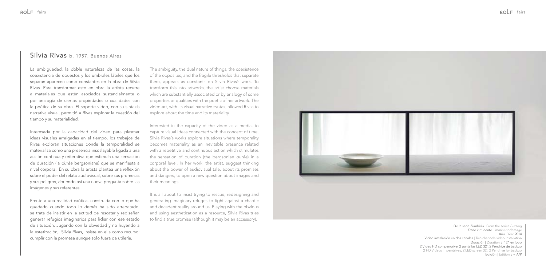### Silvia Rivas b. 1957, Buenos Aires

La ambigüedad, la doble naturaleza de las cosas, la coexistencia de opuestos y los umbrales lábiles que los separan aparecen como constantes en la obra de Silvia Rivas. Para transformar esto en obra la artista recurre a materiales que estén asociados sustancialmente o por analogía de ciertas propiedades o cualidades con la poética de su obra. El soporte video, con su sintaxis narrativa visual, permitió a Rivas explorar la cuestión del tiempo y su materialidad.

Interesada por la capacidad del video para plasmar ideas visuales arraigadas en el tiempo, los trabajos de Rivas exploran situaciones donde la temporalidad se materializa como una presencia insoslayable ligada a una acción continua y reiterativa que estimula una sensación de duración (la *durée* bergsoniana) que se manifiesta a nivel corporal. En su obra la artista plantea una reflexión sobre el poder del relato audiovisual, sobre sus promesas y sus peligros, abriendo así una nueva pregunta sobre las imágenes y sus referentes.

Frente a una realidad caótica, construida con lo que ha quedado cuando todo lo demás ha sido arrebatado, se trata de insistir en la actitud de rescatar y rediseñar, generar refugios imaginarios para lidiar con ese estado de situación. Jugando con la obviedad y no huyendo a la estetización, Silvia Rivas, insiste en ella como recurso: cumplir con la promesa aunque solo fuera de utilería.

The ambiguity, the dual nature of things, the coexistence of the opposites, and the fragile thresholds that separate them, appears as constants on Silvia Rivas's work. To transform this into artworks, the artist choose materials which are substantially associated or by analogy of some properties or qualities with the poetic of her artwork. The video-art, with its visual narrative syntax, allowed Rivas to explore about the time and its materiality.

Interested in the capacity of the video as a media, to capture visual ideas connected with the concept of time, Silvia Rivas´s works explore situations where temporality becomes materiality as an inevitable presence related with a repetitive and continuous action which stimulates the sensation of duration (the bergsonian *durée*) in a corporal level. In her work, the artist, suggest thinking about the power of audiovisual tale, about its promises and dangers, to open a new question about images and their meanings.

It is all about to insist trying to rescue, redesigning and generating imaginary refuges to fight against a chaotic and decadent reality around us. Playing with the obvious and using aesthetization as a resource, Silvia Rivas tries to find a true promise (although it may be an accessory).



De la serie *Zumbido* | From the series *Buzzing Daño inminente* | *Imminent damage* Año | Year 2014 Video instalación en dos canales | Two channels video Installation Duración | Duration 3' 12" en loop 2 Video HD con pendrive, 2 pantallas LED 32', 2 Pendrive de backup 2 HD Videos in pendrives, 2 LED screen 32', 2 Pendrive for backup Edición | Edition 5 + A/P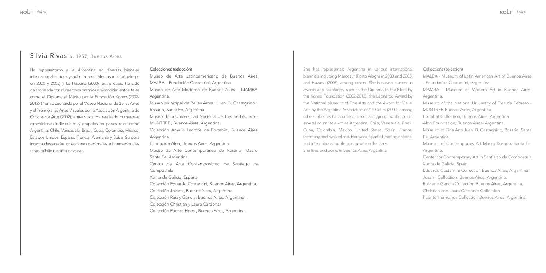### Silvia Rivas b. 1957, Buenos Aires

Ha representado a la Argentina en diversas bienales internacionales incluyendo la del Mercosur (Portoalegre en 2000 y 2005) y La Habana (2003), entre otras. Ha sido galardonada con numerosos premios y reconocimientos, tales como el Diploma al Mérito por la Fundación Konex (2002- 2012), Premio Leonardo por el Museo Nacional de Bellas Artes y el Premio a las Artes Visuales por la Asociación Argentina de Críticos de Arte (2002), entre otros. Ha realizado numerosas exposiciones individuales y grupales en países tales como Argentina, Chile, Venezuela, Brasil, Cuba, Colombia, México, Estados Unidos, España, Francia, Alemania y Suiza. Su obra integra destacadas colecciones nacionales e internacionales tanto públicas como privadas.

#### Colecciones (selección)

Museo de Arte Latinoamericano de Buenos Aires, MALBA – Fundación Costantini, Argentina. Museo de Arte Moderno de Buenos Aires – MAMBA, Argentina. Museo Municipal de Bellas Artes "Juan. B. Castagnino", Rosario, Santa Fe, Argentina. Museo de la Universidad Nacional de Tres de Febrero – MUNTREF , Buenos Aires, Argentina. Colección Amalia Lacroze de Fortabat, Buenos Aires, Argentina. Fundación Alon, Buenos Aires, Argentina Museo de Arte Contemporáneo de Rosario- Macro, Santa Fe, Argentina. Centro de Arte Contemporáneo de Santiago de Compostela Xunta de Galicia, España Colección Eduardo Costantini, Buenos Aires, Argentina. Colección Jozami, Buenos Aires, Argentina. Colección Ruiz y Gancia, Buenos Aires, Argentina. Colección Christian y Laura Cardoner Colección Puente Hnos., Buenos Aires, Argentina.

She has represented Argentina in various international biennials including Mercosur (Porto Alegre in 2000 and 2005) and Havana (2003), among others. She has won numerous awards and accolades, such as the Diploma to the Merit by the Konex Foundation (2002-2012), the Leonardo Award by the National Museum of Fine Arts and the Award for Visual Arts by the Argentina Association of Art Critics (2002), among others. She has had numerous solo and group exhibitions in several countries such as Argentina, Chile, Venezuela, Brazil, Cuba, Colombia, Mexico, United States, Spain, France, Germany and Switzerland. Her work is part of leading national and international public and private collections. She lives and works in Buenos Aires, Argentina.

#### Collections (selection)

Argentina. Argentina.

- MALBA Museum of Latin American Art of Buenos Aires - Foundation Costantini, Argentina.
- MAMBA Museum of Modern Art in Buenos Aires,
- Museum of the National University of Tres de Febrero MUNTREF, Buenos Aires, Argentina.
- Fortabat Collection, Buenos Aires, Argentina.
- Alon Foundation, Buenos Aires, Argentina.
- Museum of Fine Arts Juan. B. Castagnino, Rosario, Santa Fe, Argentina.
- Museum of Contemporary Art Macro Rosario, Santa Fe,
- Center for Contemporary Art in Santiago de Compostela Xunta de Galicia, Spain.
- Eduardo Costantini Collection Buenos Aires, Argentina.
- Jozami Collection, Buenos Aires, Argentina.
- Ruiz and Gancia Collection Buenos Aires, Argentina.
- Christian and Laura Cardoner Collection
- Puente Hermanos Collection Buenos Aires, Argentina.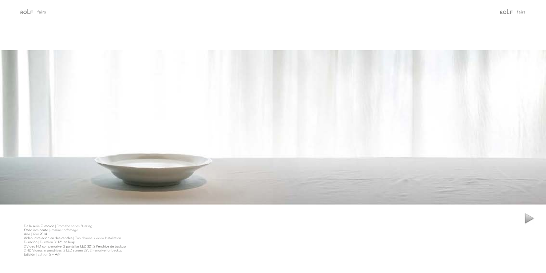



De la serie *Zumbido* | From the series *Buzzing Daño inminente* | *Imminent damage* Año | Year 2014 Video instalación en dos canales | Two channels video Installation Duración | Duration 3' 12" en loop 2 Video HD con pendrive, 2 pantallas LED 32', 2 Pendrive de backup 2 HD Videos in pendrives, 2 LED screen 32', 2 Pendrive for backup Edición | Edition 5 + A/P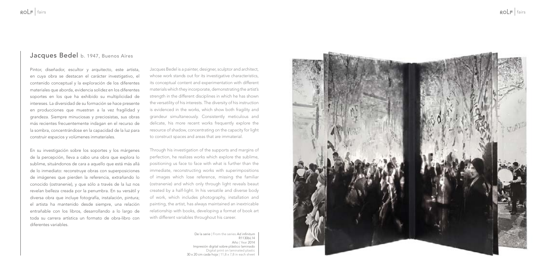### Jacques Bedel b. 1947, Buenos Aires

Pintor, diseñador, escultor y arquitecto, este artista, en cuya obra se destacan el carácter investigativo, el contenido conceptual y la exploración de los diferentes materiales que aborda, evidencia solidez en los diferentes soportes en los que ha exhibido su multiplicidad de intereses. La diversidad de su formación se hace presente en producciones que muestran a la vez fragilidad y grandeza. Siempre minuciosas y preciosistas, sus obras más recientes frecuentemente indagan en el recurso de la sombra, concentrándose en la capacidad de la luz para construir espacios y volúmenes inmateriales.

En su investigación sobre los soportes y los márgenes de la percepción, lleva a cabo una obra que explora lo sublime, situándonos de cara a aquello que está más allá de lo inmediato: reconstruye obras con superposiciones de imágenes que pierden la referencia, extrañando lo conocido (ostranenie), y que sólo a través de la luz nos revelan belleza creada por la penumbra. En su versátil y diversa obra que incluye fotografía, instalación, pintura; el artista ha mantenido desde siempre, una relación entrañable con los libros, desarrollando a lo largo de toda su carrera artística un formato de obra-libro con diferentes variables.

Jacques Bedel is a painter, designer, sculptor and architect, whose work stands out for its investigative characteristics, its conceptual content and experimentation with different materials which they incorporate, demonstrating the artist's strength in the different disciplines in which he has shown the versatility of his interests. The diversity of his instruction is evidenced in the works, which show both fragility and grandeur simultaneously. Consistently meticulous and delicate, his more recent works frequently explore the resource of shadow, concentrating on the capacity for light to construct spaces and areas that are immaterial.

Through his investigation of the supports and margins of perfection, he realizes works which explore the sublime, positioning us face to face with what is further than the immediate, reconstructing works with superimpositions of images which lose reference, missing the familiar (ostranenie) and which only through light reveals beaut created by a half-light. In his versatile and diverse body of work, which includes photography, installation and painting, the artist, has always maintained an inextricable relationship with books, developing a format of book art with different variables throughout his career.

> De la serie | From the series Ad infinitum R1130bL14 Año | Year 2014 Impresión digital sobre plástico laminado Digital print on laminated plastic 30 x 20 cm cada hoja | 11,8 x 7,8 in each sheet

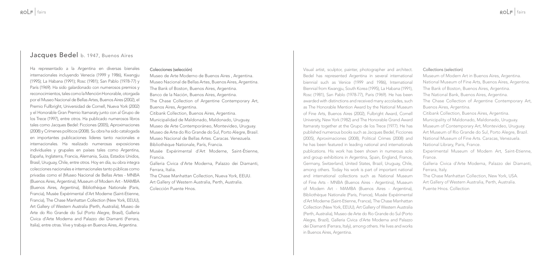### Jacques Bedel b. 1947, Buenos Aires

Ha representado a la Argentina en diversas bienales internacionales incluyendo Venecia (1999 y 1986), Kwangju (1995); La Habana (1991); Rosc (1981); San Pablo (1978-77) y París (1969). Ha sido galardonado con numerosos premios y reconocimientos, tales como la Mención Honorable, otorgada por el Museo Nacional de Bellas Artes, Buenos Aires (2002), el Premio Fullbright, Universidad de Cornell, Nueva York (2002) y el Honorable Gran Premio Itamaraty junto con al Grupo de los Trece (1997), entre otros. Ha publicado numerosos libros tales como Jacques Bedel: Ficciones (2005), Aproximaciones (2008) y Crímenes políticos (2008). Su obra ha sido catalogada en importantes publicaciones líderes tanto nacionales e internacionales. Ha realizado numerosas exposiciones individuales y grupales en países tales como Argentina, España, Inglaterra, Francia, Alemania, Suiza, Estados Unidos, Brasil, Uruguay, Chile, entre otros. Hoy en día, su obra integra colecciones nacionales e internacionales tanto públicas como privadas como el (Museo Nacional de Bellas Artes - MNBA (Buenos Aires, Argentina), Museum of Modern Art - MAMBA (Buenos Aires, Argentina), Bibliothèque Nationale (Paris, Francia), Musée Expérimental d'Art Moderne (Saint-Etienne, Francia), The Chase Manhattan Collection (New York, EEUU), Art Gallery of Western Australia (Perth, Australia), Museo de Arte do Rio Grande do Sul (Porto Alegre, Brasil), Galleria Civica d'Arte Moderna and Palazzo dei Diamanti (Ferrara, Italia), entre otras. Vive y trabaja en Buenos Aires, Argentina.

#### Colecciones (selección)

Museo de Arte Moderno de Buenos Aires , Argentina. Museo Nacional de Bellas Artes, Buenos Aires, Argentina. The Bank of Boston, Buenos Aires, Argentina. Banco de la Nación, Buenos Aires, Argentina. The Chase Collection of Argentine Contemporary Art, Buenos Aires, Argentina. Citibank Collection, Buenos Aires, Argentina. Municipalidad de Maldonado, Maldonado, Uruguay. Museo de Arte Contemporáneo, Montevideo, Uruguay. Museo de Arte do Rio Grande do Sul, Porto Alegre, Brasil. Museo Nacional de Bellas Artes. Caracas. Venezuela. Bibliothèque Nationale, París, Francia. Musée Expérimental d'Art Moderne, Saint-Étienne, Francia. Galleria Civica d'Arte Moderna, Palazzo dei Diamanti,

Ferrara, Italia.

The Chase Manhattan Collection, Nueva York, EEUU. Art Gallery of Western Australia, Perth, Australia. Colección Puente Hnos.

Visual artist, sculptor, painter, photographer and architect. Bedel has represented Argentina in several international biennial such as Venice (1999 and 1986), International Biennial from Kwangju, South Korea (1995), La Habana (1991), Rosc (1981), San Pablo (1978-77), Paris (1969). He has been awarded with distinctions and received many accolades, such as The Honorable Mention Award by the National Museum of Fine Arts, Buenos Aires (2002), Fulbright Award, Cornell University, New York (1982) and The Honorable Grand Award Itamaraty together at the Grupo de los Trece (1977). He has published numerous books such as Jacques Bedel, Ficciones (2005), Aproximaciones (2008), Political Crimes (2008) and he has been featured in leading national and internationals publications. His work has been shown in numerous solo and group exhibitions in Argentina, Spain, England, France, Germany, Switzerland, United States, Brazil, Uruguay, Chile, among others. Today his work is part of important national and international collections such as National Museum of Fine Arts - MNBA (Buenos Aires - Argentina), Museum of Modern Art - MAMBA (Buenos Aires - Argentina), Bibliothèque Nationale (Paris, France), Musée Expérimental d'Art Moderne (Saint-Etienne, France), The Chase Manhattan Collection (New York, EEUU), Art Gallery of Western Australia (Perth, Australia), Museo de Arte do Rio Grande do Sul (Porto Alegre, Brazil), Galleria Civica d'Arte Moderna and Palazzo dei Diamanti (Ferrara, Italy), among others. He lives and works in Buenos Aires, Argentina.

#### Collections (selection)

- Museum of Modern Art in Buenos Aires, Argentina.
- National Museum of Fine Arts, Buenos Aires, Argentina.
- The Bank of Boston, Buenos Aires, Argentina.
- The National Bank, Buenos Aires, Argentina.
- The Chase Collection of Argentine Contemporary Art, Buenos Aires, Argentina.
- Citibank Collection, Buenos Aires, Argentina.
- Municipality of Maldonado, Maldonado, Uruguay.
- Museum of Contemporary Art, Montevideo, Uruguay.
- Art Museum of Rio Grande do Sul, Porto Alegre, Brazil.
- National Museum of Fine Arts. Caracas, Venezuela.
- National Library, Paris, France.
- Experimental Museum of Modern Art, Saint-Etienne, France.
- Galleria Civica d'Arte Moderna, Palazzo dei Diamanti, Ferrara, Italy.
- The Chase Manhattan Collection, New York, USA.
- Art Gallery of Western Australia, Perth, Australia.
- Puente Hnos. Collection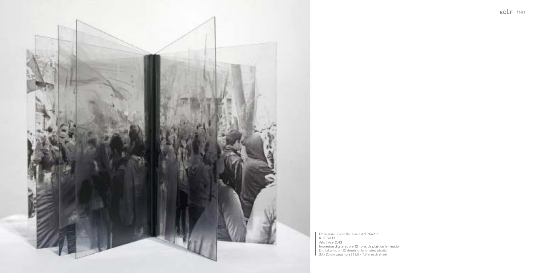

De la serie | From the series Ad infinitum R1102aL13 Año | Year 2013 Impresión digital sobre 12 hojas de plástico laminado Digital print on 12 sheets of laminated plastic 30 x 20 cm cada hoja | 11,8 x 7,8 in each sheet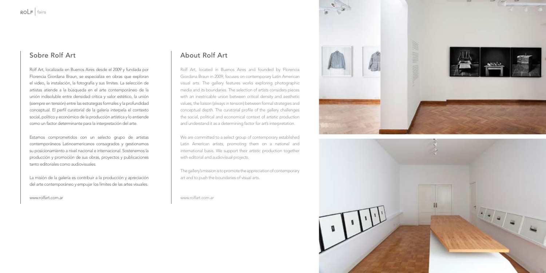### Sobre Rolf Art

Rolf Art, localizada en Buenos Aires desde el 2009 y fundada por Florencia Giordana Braun, se especializa en obras que exploran el video, la instalación, la fotografía y sus límites. La selección de artistas atiende a la búsqueda en el arte contemporáneo de la unión indisoluble entre densidad crítica y valor estético, la unión (siempre en tensión) entre las estrategias formales y la profundidad conceptual. El perfil curatorial de la galería interpela el contexto social, político y económico de la producción artística y lo entiende como un factor determinante para la interpretación del arte.

Estamos comprometidos con un selecto grupo de artistas contemporáneos Latinoamericanos consagrados y gestionamos su posicionamiento a nivel nacional e internacional. Sostenemos la producción y promoción de sus obras, proyectos y publicaciones tanto editoriales como audiovisuales.

La misión de la galería es contribuir a la producción y apreciación del arte contemporáneo y empujar los límites de las artes visuales.

[www.rolfart.com.ar](http://rolfart.com.ar)

### About Rolf Art

Rolf Art, located in Buenos Aires and founded by Florencia Giordana Braun in 2009, focuses on contemporary Latin American visual arts. The gallery features works exploring photographic media and its boundaries. The selection of artists considers pieces with an inextricable union between critical density and aesthetic values, the liaison (always in tension) between formal strategies and conceptual depth. The curatorial profile of the gallery challenges the social, political and economical context of artistic production and understand it as a determining factor for art's interpretation.

We are committed to a select group of contemporary established Latin American artists, promoting them on a national and international basis. We support their artistic production together with editorial and audiovisual projects.

The gallery's mission is to promote the appreciation of contemporary art and to push the boundaries of visual arts.

[www.rolfart.com.ar](http://rolfart.com.ar)



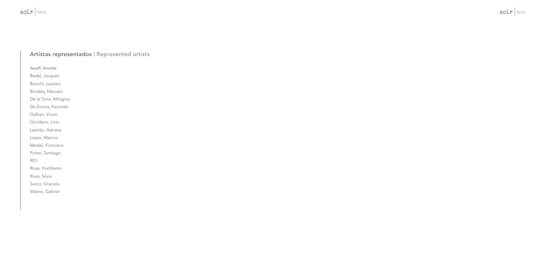### Artistas representados | Represented artists

Asseff, Ananké Bedel, Jacques

Bianchi, Lautaro

Brodsky, Marcelo

De la Torre, Milagros

De Zuviría, Facundo

Galban, Vivian

Giordano, Livio

Lestido, Adriana

López, Marcos

Medail, Francisco

Porter, Santiago

RES

Rivas, Humberto

Rivas, Silvia

Sacco, Graciela

Valansi, Gabriel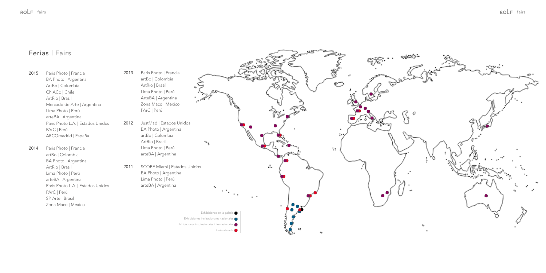### Ferias | Fairs

- 2015 Paris Photo | Francia BA Photo | Argentina ArtBo | Colombia Ch.ACo | Chile ArtRio | Brasil Mercado de Arte | Argentina Lima Photo | Perú arteBA | Argentina Paris Photo L.A. | Estados Unidos PArC | Perú ARCOmadrid | España
- 2014 Paris Photo | Francia artBo | Colombia BA Photo | Argentina ArtRio | Brasil Lima Photo | Perú arteBA | Argentina Paris Photo L.A. | Estados Unidos PArC | Perú SP Arte | Brasil Zona Maco | México
- 2013 Paris Photo | Francia artBo | Colombia ArtRio | Brasil Lima Photo | Perú ArteBA | Argentina Zona Maco | México PArC | Perú
- 2012 JustMad | Estados Unidos BA Photo | Argentina artBo | Colombia ArtRio | Brasil Lima Photo | Perú arteBA | Argentina
- 2011 SCOPE Miami | Estados Unidos BA Photo | Argentina Lima Photo | Perú arteBA | Argentina